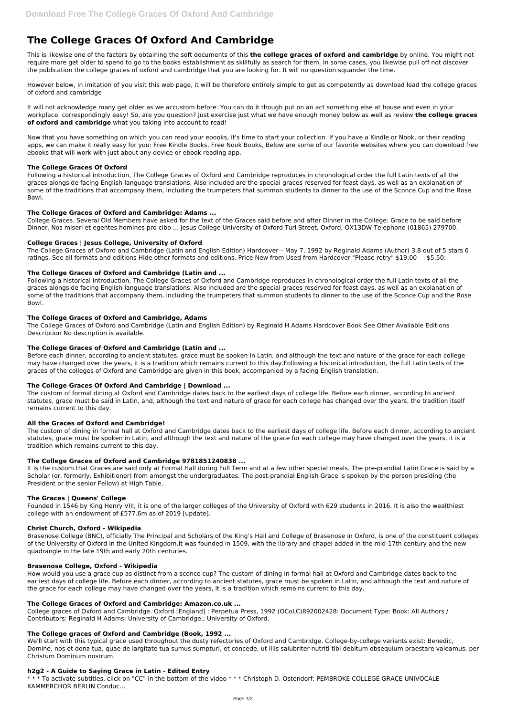# **The College Graces Of Oxford And Cambridge**

This is likewise one of the factors by obtaining the soft documents of this **the college graces of oxford and cambridge** by online. You might not require more get older to spend to go to the books establishment as skillfully as search for them. In some cases, you likewise pull off not discover the publication the college graces of oxford and cambridge that you are looking for. It will no question squander the time.

However below, in imitation of you visit this web page, it will be therefore entirely simple to get as competently as download lead the college graces of oxford and cambridge

It will not acknowledge many get older as we accustom before. You can do it though put on an act something else at house and even in your workplace. correspondingly easy! So, are you question? Just exercise just what we have enough money below as well as review **the college graces of oxford and cambridge** what you taking into account to read!

Now that you have something on which you can read your ebooks, it's time to start your collection. If you have a Kindle or Nook, or their reading apps, we can make it really easy for you: Free Kindle Books, Free Nook Books, Below are some of our favorite websites where you can download free ebooks that will work with just about any device or ebook reading app.

## **The College Graces Of Oxford**

Following a historical introduction, The College Graces of Oxford and Cambridge reproduces in chronological order the full Latin texts of all the graces alongside facing English-language translations. Also included are the special graces reserved for feast days, as well as an explanation of some of the traditions that accompany them, including the trumpeters that summon students to dinner to the use of the Sconce Cup and the Rose Bowl.

## **The College Graces of Oxford and Cambridge: Adams ...**

College Graces. Several Old Members have asked for the text of the Graces said before and after Dinner in the College: Grace to be said before Dinner. Nos miseri et egentes homines pro cibo ... Jesus College University of Oxford Turl Street, Oxford, OX13DW Telephone (01865) 279700.

## **College Graces | Jesus College, University of Oxford**

The College Graces of Oxford and Cambridge (Latin and English Edition) Hardcover – May 7, 1992 by Reginald Adams (Author) 3.8 out of 5 stars 6 ratings. See all formats and editions Hide other formats and editions. Price New from Used from Hardcover "Please retry" \$19.00 — \$5.50:

## **The College Graces of Oxford and Cambridge (Latin and ...**

Following a historical introduction, The College Graces of Oxford and Cambridge reproduces in chronological order the full Latin texts of all the graces alongside facing English-language translations. Also included are the special graces reserved for feast days, as well as an explanation of some of the traditions that accompany them, including the trumpeters that summon students to dinner to the use of the Sconce Cup and the Rose Bowl.

#### **The College Graces of Oxford and Cambridge, Adams**

The College Graces of Oxford and Cambridge (Latin and English Edition) by Reginald H Adams Hardcover Book See Other Available Editions Description No description is available.

# **The College Graces of Oxford and Cambridge (Latin and ...**

Before each dinner, according to ancient statutes, grace must be spoken in Latin, and although the text and nature of the grace for each college may have changed over the years, it is a tradition which remains current to this day.Following a historical introduction, the full Latin texts of the graces of the colleges of Oxford and Cambridge are given in this book, accompanied by a facing English translation.

# **The College Graces Of Oxford And Cambridge | Download ...**

The custom of formal dining at Oxford and Cambridge dates back to the earliest days of college life. Before each dinner, according to ancient statutes, grace must be said in Latin, and, although the text and nature of grace for each college has changed over the years, the tradition itself remains current to this day.

#### **All the Graces of Oxford and Cambridge!**

The custom of dining in formal hall at Oxford and Cambridge dates back to the earliest days of college life. Before each dinner, according to ancient statutes, grace must be spoken in Latin, and although the text and nature of the grace for each college may have changed over the years, it is a tradition which remains current to this day.

# **The College Graces of Oxford and Cambridge 9781851240838 ...**

It is the custom that Graces are said only at Formal Hall during Full Term and at a few other special meals. The pre-prandial Latin Grace is said by a Scholar (or, formerly, Exhibitioner) from amongst the undergraduates. The post-prandial English Grace is spoken by the person presiding (the President or the senior Fellow) at High Table.

#### **The Graces | Queens' College**

Founded in 1546 by King Henry VIII, it is one of the larger colleges of the University of Oxford with 629 students in 2016. It is also the wealthiest college with an endowment of £577.6m as of 2019 [update].

#### **Christ Church, Oxford - Wikipedia**

Brasenose College (BNC), officially The Principal and Scholars of the King's Hall and College of Brasenose in Oxford, is one of the constituent colleges

of the University of Oxford in the United Kingdom.It was founded in 1509, with the library and chapel added in the mid-17th century and the new quadrangle in the late 19th and early 20th centuries.

## **Brasenose College, Oxford - Wikipedia**

How would you use a grace cup as distinct from a sconce cup? The custom of dining in formal hall at Oxford and Cambridge dates back to the earliest days of college life. Before each dinner, according to ancient statutes, grace must be spoken in Latin, and although the text and nature of the grace for each college may have changed over the years, it is a tradition which remains current to this day.

# **The College Graces of Oxford and Cambridge: Amazon.co.uk ...**

College graces of Oxford and Cambridge. Oxford [England] : Perpetua Press, 1992 (OCoLC)892002428: Document Type: Book: All Authors / Contributors: Reginald H Adams; University of Cambridge.; University of Oxford.

## **The College graces of Oxford and Cambridge (Book, 1992 ...**

We'll start with this typical grace used throughout the dusty refectories of Oxford and Cambridge. College-by-college variants exist: Benedic, Domine, nos et dona tua, quae de largitate tua sumus sumpturi, et concede, ut illis salubriter nutriti tibi debitum obsequium praestare valeamus, per Christum Dominum nostrum.

#### **h2g2 - A Guide to Saying Grace in Latin - Edited Entry**

\* \* \* To activate subtitles, click on "CC" in the bottom of the video \* \* \* Christoph D. Ostendorf: PEMBROKE COLLEGE GRACE UNIVOCALE KAMMERCHOR BERLIN Conduc...